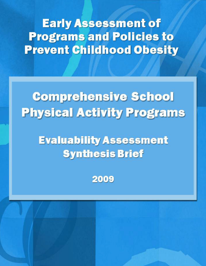**Early Assessment of Programs and Policies to Prevent Childhood Obesity** 

# **Comprehensive School Physical Activity Programs**

## **Evaluability Assessment Synthesis Brief**

2009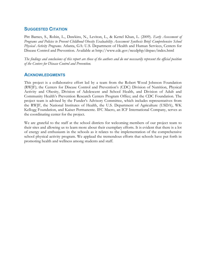#### **SUGGESTED CITATION**

Pitt Barnes, S., Robin, L., Dawkins, N., Leviton, L., & Kettel Khan, L. (2009). *Early Assessment of Programs and Policies to Prevent Childhood Obesity Evaluability Assessment Synthesis Brief: Comprehensive School Physical Activity Programs.* Atlanta, GA: U.S. Department of Health and Human Services, Centers for Disease Control and Prevention. Available at http://www.cdc.gov/nccdphp/dnpao/index.html

*The findings and conclusions of this report are those of the authors and do not necessarily represent the official position of the Centers for Disease Control and Prevention.*

#### **ACKNOWLEDGMENTS**

This project is a collaborative effort led by a team from the Robert Wood Johnson Foundation (RWJF); the Centers for Disease Control and Prevention's (CDC) Division of Nutrition, Physical Activity and Obesity, Division of Adolescent and School Health, and Division of Adult and Community Health's Prevention Research Centers Program Office; and the CDC Foundation. The project team is advised by the Funder's Advisory Committee, which includes representatives from the RWJF, the National Institutes of Health, the U.S. Department of Agriculture (USDA), WK Kellogg Foundation, and Kaiser Permanente. IFC Macro, an ICF International Company, serves as the coordinating center for the project.

We are grateful to the staff at the school districts for welcoming members of our project team to their sites and allowing us to learn more about their exemplary efforts. It is evident that there is a lot of energy and enthusiasm in the schools as it relates to the implementation of the comprehensive school physical activity program. We applaud the tremendous efforts that schools have put forth in promoting health and wellness among students and staff.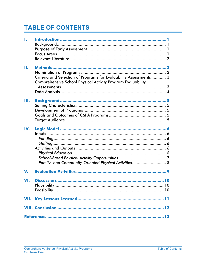## **TABLE OF CONTENTS**

| L    |                                                                                                                                         |  |
|------|-----------------------------------------------------------------------------------------------------------------------------------------|--|
| Н.   | Criteria and Selection of Programs for Evaluability Assessments 3<br><b>Comprehensive School Physical Activity Program Evaluability</b> |  |
| Ш.   |                                                                                                                                         |  |
| IV.  | Family- and Community-Oriented Physical Activities 8                                                                                    |  |
| V.   |                                                                                                                                         |  |
| VI.  |                                                                                                                                         |  |
| VII. |                                                                                                                                         |  |
|      |                                                                                                                                         |  |
|      |                                                                                                                                         |  |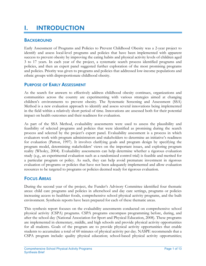## <span id="page-4-0"></span>I. INTRODUCTION

#### <span id="page-4-1"></span>**BACKGROUND**

Early Assessment of Programs and Policies to Prevent Childhood Obesity was a 2-year project to identify and assess local-level programs and policies that have been implemented with apparent success to prevent obesity by improving the eating habits and physical activity levels of children aged 3 to 17 years. In each year of the project, a systematic search process identified programs and policies, and then an expert panel suggested further exploration of the most promising programs and policies. Priority was given to programs and policies that addressed low-income populations and ethnic groups with disproportionate childhood obesity.

#### <span id="page-4-2"></span>PURPOSE OF EARLY ASSESSMENT

As the search for answers to effectively address childhood obesity continues, organizations and communities across the country are experimenting with various strategies aimed at changing children's environments to prevent obesity. The Systematic Screening and Assessment (SSA) Method is a new evaluation approach to identify and assess several innovations being implemented in the field within a relatively short period of time. Innovations are assessed both for their potential impact on health outcomes and their readiness for evaluation.

As part of the SSA Method, evaluability assessments were used to assess the plausibility and feasibility of selected programs and policies that were identified as promising during the search process and selected by the project's expert panel. Evaluability assessment is a process in which evaluators work with program administrators and stakeholders to determine an initiative's readiness for evaluation (Patton, 1997). It involves clarifying goals and program design by specifying the program model, determining stakeholders' views on the important issues, and exploring program reality (Wholey, 2004). Evaluability assessments can help determine whether a rigorous evaluation study (e.g., an experimental evaluation such as a randomized control trial) is feasible and merited for a particular program or policy. As such, they can help avoid premature investment in rigorous evaluation of programs or policies that have not been adequately implemented and allow evaluation resources to be targeted to programs or policies deemed ready for rigorous evaluation.

#### <span id="page-4-3"></span>FOCUS AREAS

During the second year of the project, the Funder's Advisory Committee identified four thematic areas: child care programs and policies in afterschool and day care settings, programs or policies increasing access to healthier foods, comprehensive school physical activity programs, and the built environment. Synthesis reports have been prepared for each of these thematic areas.

This synthesis report focuses on the evaluability assessments conducted on comprehensive school physical activity (CSPA) programs. CSPA programs encompass programming before, during, and after the school day (National Association for Sport and Physical Education, 2008). These programs are implemented in elementary, middle, and high schools and provide physical activity opportunities for all students. Goals of the program are to provide physical activity opportunities that enable students to accumulate a total of 60 minutes of physical activity per day. NASPE recommends that a CSPA program include: quality physical education; school-based physical activity opportunities;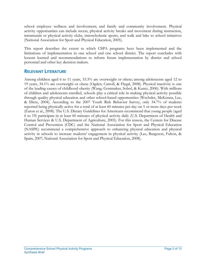school employee wellness and involvement; and family and community involvement. Physical activity opportunities can include recess, physical activity breaks and movement during instruction, intramurals or physical activity clubs, interscholastic sports, and walk and bike to school initiatives (National Association for Sport and Physical Education, 2005).

This report describes the extent to which CSPA programs have been implemented and the limitations of implementation in one school and one school district. The report concludes with lessons learned and recommendations to inform future implementation by district and school personnel and other key decision makers.

#### <span id="page-5-0"></span>RELEVANT LITERATURE

Among children aged 6 to 11 years, 33.3% are overweight or obese; among adolescents aged 12 to 19 years, 34.1% are overweight or obese (Ogden, Carroll, & Flegal, 2008). Physical inactivity is one of the leading causes of childhood obesity (Wang, Gortmaker, Sobol, & Kuntz, 2006). With millions of children and adolescents enrolled, schools play a critical role in making physical activity possible through quality physical education and other school-based opportunities (Wechsler, McKenna, Lee, & Dietz, 2004). According to the 2007 Youth Risk Behavior Survey, only 34.7% of students reported being physically active for a total of at least 60 minutes per day on 5 or more days per week (Eaton et al., 2008). The U.S. Dietary Guidelines for Americans recommend that young people (aged 6 to 19) participate in at least 60 minutes of physical activity daily (U.S. Department of Health and Human Services & U.S. Department of Agriculture, 2005). For this reason, the Centers for Disease Control and Prevention (CDC) and the National Association for Sport and Physical Education (NASPE) recommend a comprehensive approach to enhancing physical education and physical activity in schools to increase students' engagement in physical activity (Lee, Burgeson, Fulton, & Spain, 2007; National Association for Sport and Physical Education, 2008).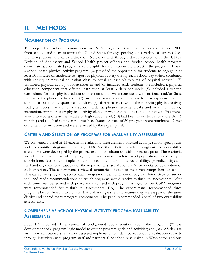## <span id="page-6-0"></span>II. METHODS

#### <span id="page-6-1"></span>NOMINATION OF PROGRAMS

The project team solicited nominations for CSPA programs between September and October 2007 from schools and districts across the United States through postings on a variety of listservs (e.g., the Comprehensive Health Education Network) and through direct contact with the CDC's Division of Adolescent and School Health project officers and funded school health program coordinators. Nominated programs were eligible for inclusion in the project if the program: (1) was a school-based physical activity program; (2) provided the opportunity for students to engage in at least 30 minutes of moderate to vigorous physical activity during each school day (when combined with activity in physical education class to equal at least 60 minutes of physical activity); (3) promoted physical activity opportunities to and/or included ALL students; (4) included a physical education component that offered instruction at least 3 days per week; (5) included a written curriculum; (6) had physical education standards that were consistent with national and/or State standards for physical education; (7) prohibited waivers or exemptions for participation in other school- or community-sponsored activities; (8) offered at least two of the following physical activity strategies: recess for elementary school students, physical activity breaks and movement during instruction, intramurals or physical activity clubs, or walk and bike to school initiatives; (9) offered interscholastic sports at the middle or high school level; (10) had been in existence for more than 6 months; and (11) had not been rigorously evaluated. A total of 30 programs were nominated; 7 met our criteria for inclusion and were reviewed by the expert panel.

#### <span id="page-6-2"></span>CRITERIA AND SELECTION OF PROGRAMS FOR EVALUABILITY ASSESSMENTS

We convened a panel of 15 experts in evaluation, measurement, physical activity, school-aged youth, and community programs in January 2008. Specific criteria to select programs for evaluability assessment were developed by the project team in collaboration with the expert panel. These criteria included potential impact of the program; innovativeness; reach to target population; acceptability to stakeholders; feasibility of implementation; feasibility of adoption; sustainability; generalizability; and staff and organizational capacity of the implementers (see Appendix A for a detailed description of each criterion). The expert panel reviewed summaries of each of the seven comprehensive school physical activity programs, scored each program on each criterion through an Internet-based survey tool, and made recommendations on which programs would receive evaluability assessments. After each panel member scored each policy and discussed each program as a group, four CSPA programs were recommended for evaluability assessments (EA). The expert panel recommended three programs be combined into a cluster EA with a single site visit because they were a part of the same district and shared many program components. The panel recommended a total of two evaluability assessments.

#### <span id="page-6-3"></span>COMPREHENSIVE SCHOOL PHYSICAL ACTIVITY PROGRAM EVALUABILITY **ASSESSMENTS**

Each EA involved (1) a review of background documentation about the program; (2) the development of a program logic model to outline program goals and activities; and (3) a 2.5-day site visit, in which trained site visitors assessed implementation, data collection, and evaluation capacity through interviews with program staff and partners. One school was visited in Washington and one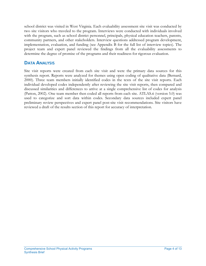school district was visited in West Virginia. Each evaluability assessment site visit was conducted by two site visitors who traveled to the program. Interviews were conducted with individuals involved with the program, such as school district personnel, principals, physical education teachers, parents, community partners, and other stakeholders. Interview questions addressed program development, implementation, evaluation, and funding (see Appendix B for the full list of interview topics). The project team and expert panel reviewed the findings from all the evaluability assessments to determine the degree of promise of the programs and their readiness for rigorous evaluation.

#### <span id="page-7-0"></span>DATA ANALYSIS

Site visit reports were created from each site visit and were the primary data sources for this synthesis report. Reports were analyzed for themes using open coding of qualitative data (Bernard, 2000). Three team members initially identified codes in the texts of the site visit reports. Each individual developed codes independently after reviewing the site visit reports, then compared and discussed similarities and differences to arrive at a single comprehensive list of codes for analysis (Patton, 2002). One team member then coded all reports from each site. ATLAS.ti (version 5.0) was used to categorize and sort data within codes. Secondary data sources included expert panel preliminary review perspectives and expert panel post-site visit recommendations. Site visitors have reviewed a draft of the results section of this report for accuracy of interpretation.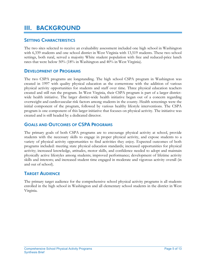## <span id="page-8-0"></span>III. BACKGROUND

#### <span id="page-8-1"></span>**SETTING CHARACTERISTICS**

The two sites selected to receive an evaluability assessment included one high school in Washington with 6,339 students and one school district in West Virginia with 13,519 students. These two school settings, both rural, served a majority White student population with free and reduced-price lunch rates that were below 50% (18% in Washington and 40% in West Virginia).

#### <span id="page-8-2"></span>DEVELOPMENT OF PROGRAMS

The two CSPA programs are longstanding. The high school CSPA program in Washington was created in 1997 with quality physical education as the cornerstone with the addition of various physical activity opportunities for students and staff over time. Three physical education teachers created and still run the program. In West Virginia, their CSPA program is part of a larger districtwide health initiative. The larger district-wide health initiative began out of a concern regarding overweight and cardiovascular risk factors among students in the county. Health screenings were the initial component of the program, followed by various healthy lifestyle interventions. The CSPA program is one component of this larger initiative that focuses on physical activity. The initiative was created and is still headed by a dedicated director.

#### <span id="page-8-3"></span>GOALS AND OUTCOMES OF CSPA PROGRAMS

The primary goals of both CSPA programs are to encourage physical activity at school, provide students with the necessary skills to engage in proper physical activity, and expose students to a variety of physical activity opportunities to find activities they enjoy. Expected outcomes of both programs included: meeting state physical education standards; increased opportunities for physical activity; increased knowledge, attitudes, motor skills, and confidence needed to adopt and maintain physically active lifestyles among students; improved performance; development of lifetime activity skills and interests; and increased student time engaged in moderate and vigorous activity overall (in and out of school).

#### <span id="page-8-4"></span>TARGET AUDIENCE

The primary target audience for the comprehensive school physical activity programs is all students enrolled in the high school in Washington and all elementary school students in the district in West Virginia.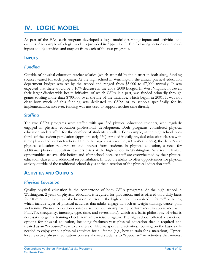## <span id="page-9-0"></span>IV. LOGIC MODEL

As part of the EAs, each program developed a logic model describing inputs and activities and outputs. An example of a logic model is provided in Appendix C. The following section describes a) inputs and b) activities and outputs from each of the two programs.

#### <span id="page-9-1"></span>INPUTS

#### <span id="page-9-2"></span>*Funding*

Outside of physical education teacher salaries (which are paid by the district in both sites), funding sources varied for each program. At the high school in Washington, the annual physical education department budget was set by the school and ranged from \$5,000 to \$7,000 annually. It was expected that there would be a 10% decrease in the 2008–2009 budget. In West Virginia, however, their larger district-wide health initiative, of which CSPA is a part, was funded primarily through grants totaling more than \$700,000 over the life of the initiative, which began in 2001. It was not clear how much of this funding was dedicated to CSPA or to schools specifically for its implementation; however, funding was not used to support teacher time directly.

#### <span id="page-9-3"></span>*Staffing*

The two CSPA programs were staffed with qualified physical education teachers, who regularly engaged in physical education professional development. Both programs considered physical education understaffed for the number of students enrolled. For example, at the high school twothirds of the student population (approximately 650) enrolled in daily physical education classes with three physical education teachers. Due to the large class sizes (i.e., 40 to 45 students), the daily 2-year physical education requirement and interest from students in physical education, a need for additional physical education teachers exists at the high school in Washington. As a result, limited opportunities are available before and after school because staff are overwhelmed by their physical education classes and additional responsibilities. In fact, the ability to offer opportunities for physical activity outside of the traditional school day is at the discretion of the physical education staff.

#### <span id="page-9-4"></span>**ACTIVITIES AND OUTPUTS**

#### <span id="page-9-5"></span>*Physical Education*

Quality physical education is the cornerstone of both CSPA programs. At the high school in Washington, 2 years of physical education is required for graduation, and is offered on a daily basis for 50 minutes. The physical education courses in the high school emphasized "lifetime" activities, which include types of physical activities that adults engage in, such as weight training, dance, golf, and tennis. Physical education courses also focused on improving performance, in accordance with F.I.T.T.R (frequency, intensity, type, time, and reversibility), which is a basic philosophy of what is necessary to gain a training effect from an exercise program. The high school offered a variety of options for physical education, including freshman-year physical education that is required and treated as an "exposure" year to a variety of lifetime sport and activities, focusing on the basic skills needed to enjoy various physical activities for a lifetime (e.g., how to train for a marathon). Upperlevel, elective physical education courses allowed students to "specialize" in activities that interest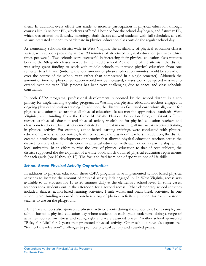them. In addition, every effort was made to increase participation in physical education through courses like Zero-hour PE, which was offered 1 hour before the school day began, and Saturday PE, which was offered on Saturday mornings. Both classes allowed students with full schedules, as well as any interested student, to participate in physical education class outside the regular school day.

At elementary schools, district-wide in West Virginia, the availability of physical education classes varied, with schools providing at least 90 minutes of structured physical education per week (three times per week). Two schools were successful in increasing their physical education class minutes because the 6th grade classes moved to the middle school. At the time of the site visit, the district was using grant funding to work with middle schools to increase physical education from one semester to a full year (initially, the total amount of physical education minutes would be spread out over the course of the school year, rather than compressed in a single semester). Although the amount of time for physical education would not be increased, classes would be spaced in a way to extend over the year. This process has been very challenging due to space and class schedule constraints.

In both CSPA programs, professional development, supported by the school district, is a top priority for implementing a quality program. In Washington, physical education teachers engaged in ongoing physical education training. In addition, the district has facilitated curriculum alignment for physical education to ensure that all physical education classes met the appropriate standards. West Virginia, with funding from the Carol M. White Physical Education Program Grant, offered numerous physical education and physical activity workshops for physical education teachers and classroom teachers. This district demonstrated an interest in ensuring all instructors received training in physical activity. For example, action-based learning trainings were conducted with physical education teachers, school nurses, health educators, and classroom teachers. In addition, the district created a professional development opportunity that allowed physical education teachers across the district to share ideas for instruction in physical education with each other, in partnership with a local university. In an effort to raise the level of physical education to that of core subjects, the district supported the development of a white book which outlined physical education requirements for each grade (pre-K through 12). The focus shifted from one of sports to one of life skills.

#### <span id="page-10-0"></span>*School-Based Physical Activity Opportunities*

In addition to physical education, these CSPA programs have implemented school-based physical activities to increase the amount of physical activity kids engaged in. In West Virginia, recess was available to all students for 15 to 20 minutes daily at the elementary school level. In some cases, teachers took students out in the afternoon for a second recess. Other elementary school activities included: dances, action-based learning activities, 1-mile walks, and brain break activities. In one school, grant funding was used to purchase a bag of physical activity equipment for each classroom teacher to use on the playground.

Elementary schools also sponsored physical activity events during the school day. For example, one school hosted a physical education day where students in each grade took turns doing a range of activities focused on fitness and eating right and were awarded prizes. Another school sponsored "Relay for Life" for 2 years that promoted physical activity. Other schools have also sponsored "turn off the television" challenges to promote physical activity and awarded prizes.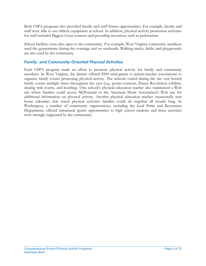Both CSPA programs also provided faculty and staff fitness opportunities. For example, faculty and staff were able to use athletic equipment at school. In addition, physical activity promotion activities for staff included Biggest Loser contests and providing incentives such as pedometers.

School facilities were also open to the community. For example, West Virginia community members used the gymnasiums during the evenings and on weekends. Walking tracks, fields, and playgrounds are also used by the community.

#### <span id="page-11-0"></span>*Family- and Community-Oriented Physical Activities*

Each CSPA program made an effort to promote physical activity for family and community members. In West Virginia, the district offered \$500 mini-grants to parent-teacher associations to organize family events promoting physical activity. The schools visited during the site visit hosted family events multiple times throughout the year (e.g., poster contests, Dance Revolution exhibits, skating rink events, and bowling). One school's physical education teacher also maintained a Web site where families could access MyPyramid or the American Heart Association's Web site for additional information on physical activity. Another physical education teacher occasionally sent home calendars that noted physical activities families could do together all month long. In Washington, a number of community organizations, including the local Parks and Recreation Department, offered intramural sports opportunities to high school students and these activities were strongly supported by the community.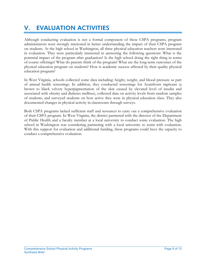## <span id="page-12-0"></span>V. EVALUATION ACTIVITIES

Although conducting evaluation is not a formal component of these CSPA programs, program administrators were strongly interested in better understanding the impact of their CSPA program on students. At the high school in Washington, all three physical education teachers were interested in evaluation. They were particularly interested in answering the following questions: What is the potential impact of the program after graduation? Is the high school doing the right thing in terms of course offerings? What do parents think of the program? What are the long-term outcomes of the physical education program on students? How is academic success affected by their quality physical education program?

In West Virginia, schools collected some data including: height, weight, and blood pressure as part of annual health screenings. In addition, they conducted screenings for Acanthosis nigricans (a brown to black velvety hyperpigmentation of the skin caused by elevated level of insulin and associated with obesity and diabetes mellitus), collected data on activity levels from random samples of students, and surveyed students on how active they were in physical education class. They also documented changes in physical activity in classrooms through surveys.

Both CSPA programs lacked sufficient staff and resources to carry out a comprehensive evaluation of their CSPA program. In West Virginia, the district partnered with the director of the Department of Public Health and a faculty member at a local university to conduct some evaluation. The high school in Washington was considering partnering with a local university to assist with evaluation. With this support for evaluation and additional funding, these programs could have the capacity to conduct a comprehensive evaluation.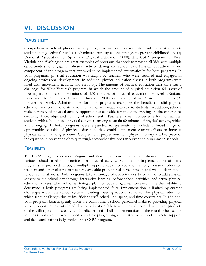## <span id="page-13-0"></span>VI. DISCUSSION

#### <span id="page-13-1"></span>**PLAUSIBILITY**

Comprehensive school physical activity programs are built on scientific evidence that supports students being active for at least 60 minutes per day as one strategy to prevent childhood obesity (National Association for Sport and Physical Education, 2008). The CSPA programs in West Virginia and Washington are great examples of programs that seek to provide all kids with multiple opportunities to engage in physical activity during the school day. Physical education is one component of the program that appeared to be implemented systematically for both programs. In both programs, physical education was taught by teachers who were certified and engaged in ongoing professional development. In addition, physical education classes in both programs were filled with movement, activity, and creativity. The amount of physical education class time was a challenge for West Virginia's program, in which the amount of physical education fell short of meeting national recommendations of 150 minutes of physical education per week (National Association for Sport and Physical Education, 2001), even though it met State requirements (90 minutes per week). Administrators for both programs recognize the benefit of solid physical education and continue to strive to improve what is made available to students. In addition, schools make a variety of physical activity opportunities available for students, drawing on the experience, creativity, knowledge, and training of school staff. Teachers make a concerted effort to reach all students with school-based physical activities, striving to attain 60 minutes of physical activity, which is challenging. If both programs were expanded to systematically include a broad range of opportunities outside of physical education, they could supplement current efforts to increase physical activity among students. Coupled with proper nutrition, physical activity is a key piece of the equation in preventing obesity through comprehensive obesity prevention programs in schools.

#### <span id="page-13-2"></span>**FEASIBILITY**

The CSPA programs in West Virginia and Washington currently include physical education and various school-based opportunities for physical activity. Support for implementation of these programs is provided through multiple opportunities: collaboration among physical education teachers and other classroom teachers, available professional development, and willing district and school administrators. Both programs take advantage of opportunities to continue to add physical activity to the school day through integrative learning, before-school activities, and active physical education classes. The lack of a strategic plan for both programs, however, limits their ability to determine if both programs are being implemented fully. Implementation is limited by current challenges within the school system including meeting national standards for physical education which faces challenges due to insufficient staff, scheduling, space, and time constraints. In addition, both programs benefit greatly from the commitment school personnel make to providing physical activity opportunities outside of physical education. These activities, although limited, are products of the willingness and creativity of dedicated staff. Full implementation in these and other school settings is possible but would need a strategic plan, strong administrative support, financial support, and dedicated staff to fully implement a CSPA program.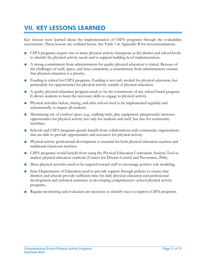## <span id="page-14-0"></span>VII. KEY LESSONS LEARNED

Key lessons were learned about the implementation of CSPA programs through the evaluability assessments. These lessons are outlined below. See Table 1 in Appendix B for recommendations.

- CSPA programs require one or more physical activity champions at the district and school levels to identify the physical activity needs and to support building-level implementation.
- A strong commitment from administrators for quality physical education is critical. Because of the challenges of staff, space, and time constraints, a commitment from administrators ensures that physical education is a priority.
- Funding is critical for CSPA programs. Funding is not only needed for physical education, but particularly for opportunities for physical activity outside of physical education.
- A quality physical education program needs to be the cornerstone of any school-based program. It allows students to learn the necessary skills to engage in physical activity.
- Physical activities before, during, and after school need to be implemented regularly and systematically to impact all students.
- Maximizing use of outdoor space (e.g., walking trails, play equipment, playgrounds) increases opportunities for physical activity not only for students and staff, but also for community members.
- Schools and CSPA programs greatly benefit from collaborations with community organizations that are able to provide opportunities and resources for physical activity.
- Physical activity professional development is essential for both physical education teachers and traditional classroom teachers.
- CSPA programs would benefit from using the Physical Education Curriculum Analysis Tool to analyze physical education curricula (Centers for Disease Control and Prevention, 2006).
- More physical activities need to be targeted toward staff to encourage positive role modeling.
- State Departments of Education need to provide support through policies to ensure that districts and schools provide sufficient time for daily physical education and professional development and technical assistance in developing comprehensive school physical activity programs.
- Regular monitoring and evaluation are necessary to identify ways to improve CSPA programs.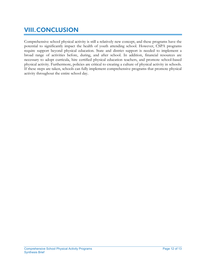## <span id="page-15-0"></span>VIII.CONCLUSION

Comprehensive school physical activity is still a relatively new concept, and these programs have the potential to significantly impact the health of youth attending school. However, CSPA programs require support beyond physical education. State and district support is needed to implement a broad range of activities before, during, and after school. In addition, financial resources are necessary to adopt curricula, hire certified physical education teachers, and promote school-based physical activity. Furthermore, policies are critical to creating a culture of physical activity in schools. If these steps are taken, schools can fully implement comprehensive programs that promote physical activity throughout the entire school day.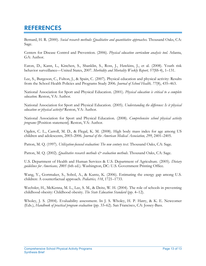### <span id="page-16-0"></span>REFERENCES

Bernard, H. R. (2000). *Social research methods: Qualitative and quantitative approaches.* Thousand Oaks, CA: Sage.

Centers for Disease Control and Prevention. (2006). *Physical education curriculum analysis tool*. Atlanta, GA: Author.

Eaton, D., Kann, L., Kinchen, S., Shanklin, S., Ross, J., Hawkins, J., et al. (2008). Youth risk behavior surveillance—United States, 2007. *Morbidity and Mortality Weekly Report, 57*(SS-4), 1–131.

Lee, S., Burgeson, C., Fulton, J., & Spain, C. (2007). Physical education and physical activity: Results from the School Health Policies and Programs Study 2006. *Journal of School Health, 77*(8), 435–463.

National Association for Sport and Physical Education. (2001). *Physical education is critical to a complete education.* Reston, VA: Author.

National Association for Sport and Physical Education. (2005). *Understanding the difference: Is it physical education or physical activity?* Reston, VA: Author.

National Association for Sport and Physical Education. (2008). *Comprehensive school physical activity programs* [Position statement]. Reston, VA: Author.

Ogden, C. L., Carroll, M. D., & Flegal, K. M. (2008). High body mass index for age among US children and adolescents, 2003–2006. *Journal of the American Medical Association, 299*, 2401–2405.

Patton, M. Q. (1997). *Utilization-focused evaluation: The new century text.* Thousand Oaks, CA: Sage.

Patton, M. Q. (2002). *Qualitative research methods*  $\mathcal{O}'$  *evaluation methods*. Thousand Oaks, CA: Sage.

U.S. Department of Health and Human Services & U.S. Department of Agriculture. (2005). *Dietary guidelines for Americans, 2005* (6th ed.). Washington, DC: U.S. Government Printing Office.

Wang, Y., Gortmaker, S., Sobol, A., & Kuntz, K. (2006). Estimating the energy gap among U.S. children: A counterfactual approach. *Pediatrics, 118*, 1721–1733.

Wechsler, H., McKenna, M. L., Lee, S. M., & Deitz, W. H. (2004). The role of schools in preventing childhood obesity: Childhood obesity. *The State Education Standard* (pp. 4–12).

Wholey, J. S. (2004). Evaluability assessment. In J. S. Wholey, H. P. Hatry, & K. E. Newcomer (Eds.), *Handbook of practical program evaluation* (pp. 33–62). San Francisco, CA: Jossey-Bass.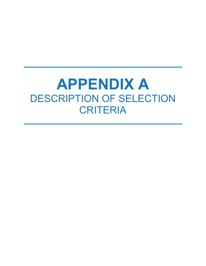## **APPENDIX A**  DESCRIPTION OF SELECTION **CRITERIA**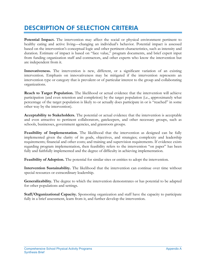## DESCRIPTION OF SELECTION CRITERIA

**Potential Impact.** The intervention may affect the social or physical environment pertinent to healthy eating and active living—changing an individual's behavior. Potential impact is assessed based on the intervention's conceptual logic and other pertinent characteristics, such as intensity and duration. Estimate of impact is based on "face value," program documents, and brief expert input from funding organization staff and contractors, and other experts who know the intervention but are independent from it.

**Innovativeness.** The intervention is new, different, or a significant variation of an existing intervention. Emphasis on innovativeness may be mitigated if the intervention represents an intervention type or category that is prevalent or of particular interest to the group and collaborating organizations.

**Reach to Target Population.** The likelihood or actual evidence that the intervention will achieve participation (and even retention and completion) by the target population (i.e., approximately what percentage of the target population is likely to or actually does participate in or is "reached" in some other way by the intervention).

**Acceptability to Stakeholders.** The potential or actual evidence that the intervention is acceptable and even attractive to pertinent collaborators, gatekeepers, and other necessary groups, such as schools, businesses, government agencies, and grassroots groups.

Feasibility of Implementation. The likelihood that the intervention as designed can be fully implemented given the clarity of its goals, objectives, and strategies; complexity and leadership requirements; financial and other costs; and training and supervision requirements. If evidence exists regarding program implementation, then feasibility refers to the intervention "on paper" has been fully and faithfully implemented and the degree of difficulty in achieving implementation.

**Feasibility of Adoption.** The potential for similar sites or entities to adopt the intervention.

**Intervention Sustainability.** The likelihood that the intervention can continue over time without special resources or extraordinary leadership.

**Generalizability.** The degree to which the intervention demonstrates or has potential to be adapted for other populations and settings.

**Staff/Organizational Capacity.** Sponsoring organization and staff have the capacity to participate fully in a brief assessment, learn from it, and further develop the intervention.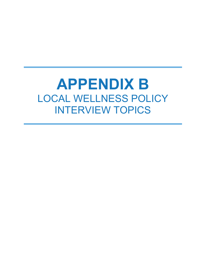## **APPENDIX B**  LOCAL WELLNESS POLICY INTERVIEW TOPICS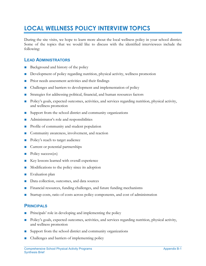## **LOCAL WELLNESS POLICY INTERVIEW TOPICS**

During the site visits, we hope to learn more about the local wellness policy in your school district. Some of the topics that we would like to discuss with the identified interviewees include the following:

#### **LEAD ADMINISTRATORS**

- Background and history of the policy
- Development of policy regarding nutrition, physical activity, wellness promotion
- Prior needs assessment activities and their findings
- Challenges and barriers to development and implementation of policy
- Strategies for addressing political, financial, and human resources factors
- Policy's goals, expected outcomes, activities, and services regarding nutrition, physical activity, and wellness promotion
- Support from the school district and community organizations
- Administrator's role and responsibilities
- Profile of community and student population
- Community awareness, involvement, and reaction
- Policy's reach to target audience
- Current or potential partnerships
- Policy success(es)
- Key lessons learned with overall experience
- Modifications to the policy since its adoption
- Evaluation plan
- Data collection, outcomes, and data sources
- Financial resources, funding challenges, and future funding mechanisms
- Startup costs, ratio of costs across policy components, and cost of administration

#### **PRINCIPALS**

- Principals' role in developing and implementing the policy
- Policy's goals, expected outcomes, activities, and services regarding nutrition, physical activity, and wellness promotion
- Support from the school district and community organizations
- Challenges and barriers of implementing policy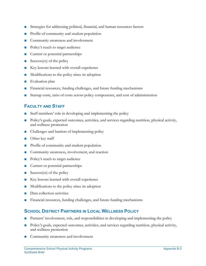- Strategies for addressing political, financial, and human resources factors
- Profile of community and student population
- Community awareness and involvement
- Policy's reach to target audience
- Current or potential partnerships
- Success(es) of the policy
- Key lessons learned with overall experience
- Modifications to the policy since its adoption
- Evaluation plan
- Financial resources, funding challenges, and future funding mechanisms
- Startup costs, ratio of costs across policy components, and cost of administration

#### **FACULTY AND STAFF**

- Staff members' role in developing and implementing the policy
- Policy's goals, expected outcomes, activities, and services regarding nutrition, physical activity, and wellness promotion
- Challenges and barriers of implementing policy
- Other key staff
- Profile of community and student population
- Community awareness, involvement, and reaction
- Policy's reach to target audience
- Current or potential partnerships
- $Success(es)$  of the policy
- Key lessons learned with overall experience
- Modifications to the policy since its adoption
- Data collection activities
- Financial resources, funding challenges, and future funding mechanisms

#### **SCHOOL DISTRICT PARTNERS IN LOCAL WELLNESS POLICY**

- Partners' involvement, role, and responsibilities in developing and implementing the policy
- Policy's goals, expected outcomes, activities, and services regarding nutrition, physical activity, and wellness promotion
- Community awareness and involvement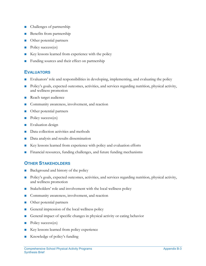- Challenges of partnership
- Benefits from partnership
- Other potential partners
- Policy success(es)
- Key lessons learned from experience with the policy
- Funding sources and their effect on partnership

#### **EVALUATORS**

- Evaluators' role and responsibilities in developing, implementing, and evaluating the policy
- Policy's goals, expected outcomes, activities, and services regarding nutrition, physical activity, and wellness promotion
- Reach target audience
- Community awareness, involvement, and reaction
- Other potential partners
- Policy success(es)
- **Evaluation** design
- Data collection activities and methods
- Data analysis and results dissemination
- Key lessons learned from experience with policy and evaluation efforts
- Financial resources, funding challenges, and future funding mechanisms

#### **OTHER STAKEHOLDERS**

- Background and history of the policy
- Policy's goals, expected outcomes, activities, and services regarding nutrition, physical activity, and wellness promotion
- Stakeholders' role and involvement with the local wellness policy
- Community awareness, involvement, and reaction
- Other potential partners
- General impression of the local wellness policy
- General impact of specific changes in physical activity or eating behavior
- Policy success(es)
- Key lessons learned from policy experience
- Knowledge of policy's funding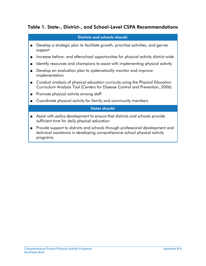#### Table 1. State-, District-, and School-Level CSPA Recommendations

#### Districts and schools should:

- Develop a strategic plan to facilitate growth, prioritize activities, and garner support
- Increase before- and afterschool opportunities for physical activity district-wide
- Identify resources and champions to assist with implementing physical activity
- Develop an evaluation plan to systematically monitor and improve implementation
- Conduct analysis of physical education curricula using the Physical Education Curriculum Analysis Tool (Centers for Disease Control and Prevention, 2006)
- Promote physical activity among staff
- Coordinate physical activity for family and community members

#### States should:

- Assist with policy development to ensure that districts and schools provide sufficient time for daily physical education
- Provide support to districts and schools through professional development and technical assistance in developing comprehensive school physical activity programs